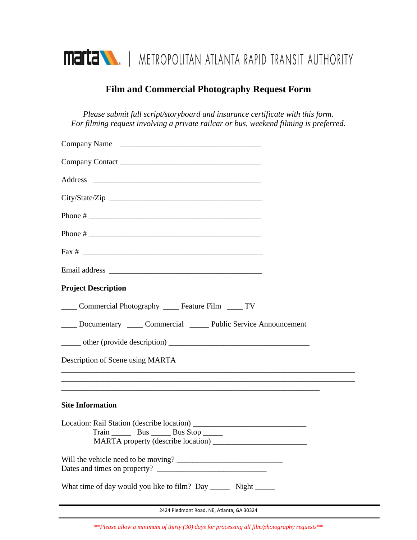

## **Film and Commercial Photography Request Form**

*Please submit full script/storyboard and insurance certificate with this form. For filming request involving a private railcar or bus, weekend filming is preferred.* 

| Company Name                                                         |  |
|----------------------------------------------------------------------|--|
|                                                                      |  |
|                                                                      |  |
|                                                                      |  |
|                                                                      |  |
|                                                                      |  |
|                                                                      |  |
|                                                                      |  |
| <b>Project Description</b>                                           |  |
| Commercial Photography _____ Feature Film _____ TV                   |  |
| ____ Documentary _____ Commercial ______ Public Service Announcement |  |
|                                                                      |  |
| Description of Scene using MARTA                                     |  |
|                                                                      |  |
| <b>Site Information</b>                                              |  |
| MARTA property (describe location) _                                 |  |
|                                                                      |  |
|                                                                      |  |
| What time of day would you like to film? Day ________ Night _______  |  |
|                                                                      |  |

2424 Piedmont Road, NE, Atlanta, GA 30324

*\*\*Please allow a minimum of thirty (30) days for processing all film/photography requests\*\**